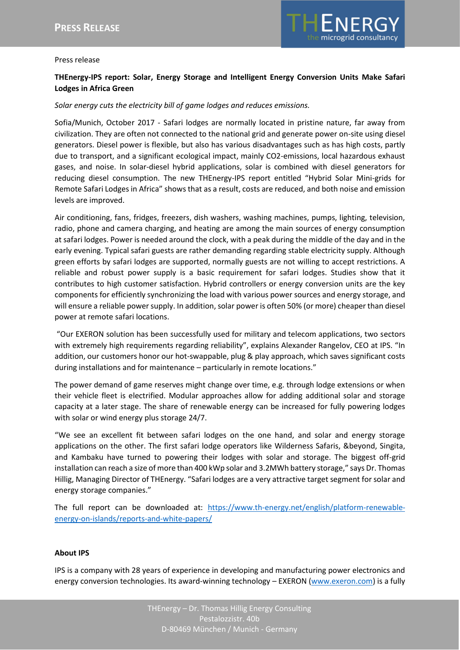

## Press release

# **THEnergy-IPS report: Solar, Energy Storage and Intelligent Energy Conversion Units Make Safari Lodges in Africa Green**

## *Solar energy cuts the electricity bill of game lodges and reduces emissions.*

Sofia/Munich, October 2017 - Safari lodges are normally located in pristine nature, far away from civilization. They are often not connected to the national grid and generate power on-site using diesel generators. Diesel power is flexible, but also has various disadvantages such as has high costs, partly due to transport, and a significant ecological impact, mainly CO2-emissions, local hazardous exhaust gases, and noise. In solar-diesel hybrid applications, solar is combined with diesel generators for reducing diesel consumption. The new THEnergy-IPS report entitled "Hybrid Solar Mini-grids for Remote Safari Lodges in Africa" shows that as a result, costs are reduced, and both noise and emission levels are improved.

Air conditioning, fans, fridges, freezers, dish washers, washing machines, pumps, lighting, television, radio, phone and camera charging, and heating are among the main sources of energy consumption at safari lodges. Power is needed around the clock, with a peak during the middle of the day and in the early evening. Typical safari guests are rather demanding regarding stable electricity supply. Although green efforts by safari lodges are supported, normally guests are not willing to accept restrictions. A reliable and robust power supply is a basic requirement for safari lodges. Studies show that it contributes to high customer satisfaction. Hybrid controllers or energy conversion units are the key components for efficiently synchronizing the load with various power sources and energy storage, and will ensure a reliable power supply. In addition, solar power is often 50% (or more) cheaper than diesel power at remote safari locations.

"Our EXERON solution has been successfully used for military and telecom applications, two sectors with extremely high requirements regarding reliability", explains Alexander Rangelov, CEO at IPS. "In addition, our customers honor our hot-swappable, plug & play approach, which saves significant costs during installations and for maintenance – particularly in remote locations."

The power demand of game reserves might change over time, e.g. through lodge extensions or when their vehicle fleet is electrified. Modular approaches allow for adding additional solar and storage capacity at a later stage. The share of renewable energy can be increased for fully powering lodges with solar or wind energy plus storage 24/7.

"We see an excellent fit between safari lodges on the one hand, and solar and energy storage applications on the other. The first safari lodge operators like Wilderness Safaris, &beyond, Singita, and Kambaku have turned to powering their lodges with solar and storage. The biggest off-grid installation can reach a size of more than 400 kWp solar and 3.2MWh battery storage," says Dr. Thomas Hillig, Managing Director of THEnergy. "Safari lodges are a very attractive target segment for solar and energy storage companies."

The full report can be downloaded at: [https://www.th-energy.net/english/platform-renewable](https://www.th-energy.net/english/platform-renewable-energy-on-islands/reports-and-white-papers/)[energy-on-islands/reports-and-white-papers/](https://www.th-energy.net/english/platform-renewable-energy-on-islands/reports-and-white-papers/)

#### **About IPS**

IPS is a company with 28 years of experience in developing and manufacturing power electronics and energy conversion technologies. Its award-winning technology – EXERON [\(www.exeron.com\)](http://www.exeron.com/) is a fully